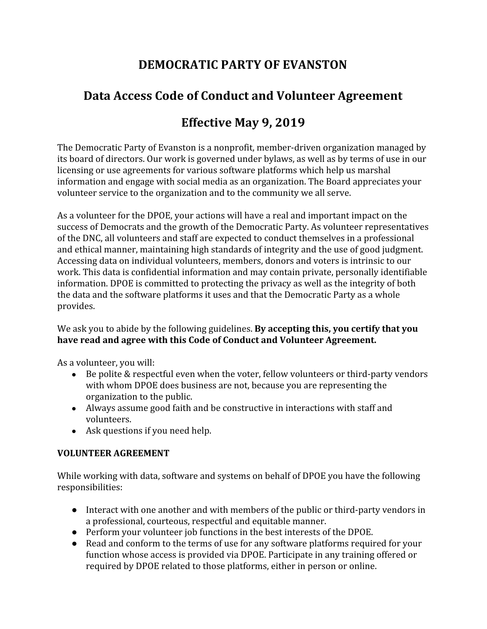# **DEMOCRATIC PARTY OF EVANSTON**

# **Data Access Code of Conduct and Volunteer Agreement**

# **Effective May 9, 2019**

The Democratic Party of Evanston is a nonprofit, member-driven organization managed by its board of directors. Our work is governed under bylaws, as well as by terms of use in our licensing or use agreements for various software platforms which help us marshal information and engage with social media as an organization. The Board appreciates your volunteer service to the organization and to the community we all serve.

As a volunteer for the DPOE, your actions will have a real and important impact on the success of Democrats and the growth of the Democratic Party. As volunteer representatives of the DNC, all volunteers and staff are expected to conduct themselves in a professional and ethical manner, maintaining high standards of integrity and the use of good judgment. Accessing data on individual volunteers, members, donors and voters is intrinsic to our work. This data is confidential information and may contain private, personally identifiable information. DPOE is committed to protecting the privacy as well as the integrity of both the data and the software platforms it uses and that the Democratic Party as a whole provides.

We ask you to abide by the following guidelines. **By accepting this, you certify that you have read and agree with this Code of Conduct and Volunteer Agreement.**

As a volunteer, you will:

- Be polite & respectful even when the voter, fellow volunteers or third-party vendors with whom DPOE does business are not, because you are representing the organization to the public.
- Always assume good faith and be constructive in interactions with staff and volunteers.
- Ask questions if you need help.

### **VOLUNTEER AGREEMENT**

While working with data, software and systems on behalf of DPOE you have the following responsibilities:

- Interact with one another and with members of the public or third-party vendors in a professional, courteous, respectful and equitable manner.
- Perform your volunteer job functions in the best interests of the DPOE.
- Read and conform to the terms of use for any software platforms required for your function whose access is provided via DPOE. Participate in any training offered or required by DPOE related to those platforms, either in person or online.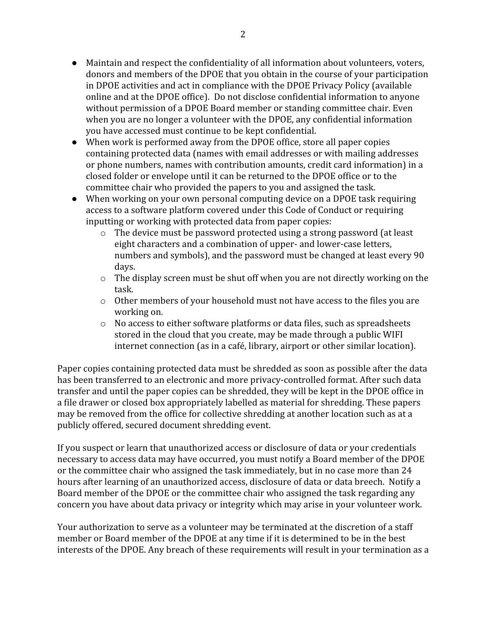- Maintain and respect the confidentiality of all information about volunteers, voters, donors and members of the DPOE that you obtain in the course of your participation in DPOE activities and act in compliance with the DPOE Privacy Policy (available online and at the DPOE office). Do not disclose confidential information to anyone without permission of a DPOE Board member or standing committee chair. Even when you are no longer a volunteer with the DPOE, any confidential information you have accessed must continue to be kept confidential.
- When work is performed away from the DPOE office, store all paper copies containing protected data (names with email addresses or with mailing addresses or phone numbers, names with contribution amounts, credit card information) in a closed folder or envelope until it can be returned to the DPOE office or to the committee chair who provided the papers to you and assigned the task.
- When working on your own personal computing device on a DPOE task requiring access to a software platform covered under this Code of Conduct or requiring inputting or working with protected data from paper copies:
	- o The device must be password protected using a strong password (at least eight characters and a combination of upper- and lower-case letters, numbers and symbols), and the password must be changed at least every 90 days.
	- o The display screen must be shut off when you are not directly working on the task.
	- o Other members of your household must not have access to the files you are working on.
	- o No access to either software platforms or data files, such as spreadsheets stored in the cloud that you create, may be made through a public WIFI internet connection (as in a café, library, airport or other similar location).

Paper copies containing protected data must be shredded as soon as possible after the data has been transferred to an electronic and more privacy-controlled format. After such data transfer and until the paper copies can be shredded, they will be kept in the DPOE office in a file drawer or closed box appropriately labelled as material for shredding. These papers may be removed from the office for collective shredding at another location such as at a publicly offered, secured document shredding event.

If you suspect or learn that unauthorized access or disclosure of data or your credentials necessary to access data may have occurred, you must notify a Board member of the DPOE or the committee chair who assigned the task immediately, but in no case more than 24 hours after learning of an unauthorized access, disclosure of data or data breech. Notify a Board member of the DPOE or the committee chair who assigned the task regarding any concern you have about data privacy or integrity which may arise in your volunteer work.

Your authorization to serve as a volunteer may be terminated at the discretion of a staff member or Board member of the DPOE at any time if it is determined to be in the best interests of the DPOE. Any breach of these requirements will result in your termination as a